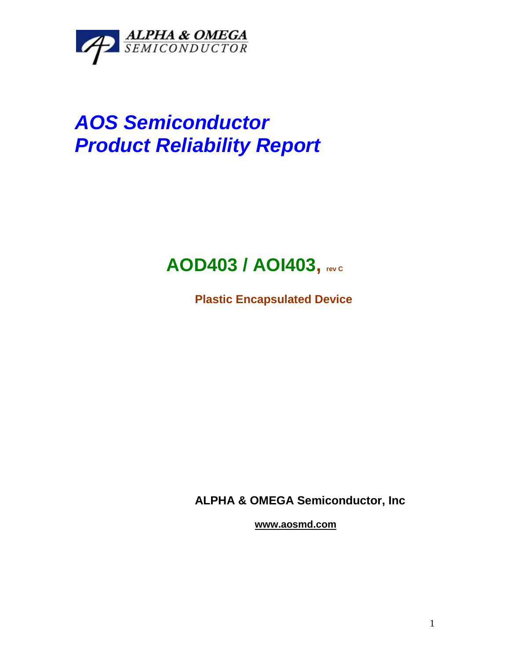

# *AOS Semiconductor Product Reliability Report*

## **AOD403 / AOI403, rev <sup>C</sup>**

**Plastic Encapsulated Device**

**ALPHA & OMEGA Semiconductor, Inc**

**www.aosmd.com**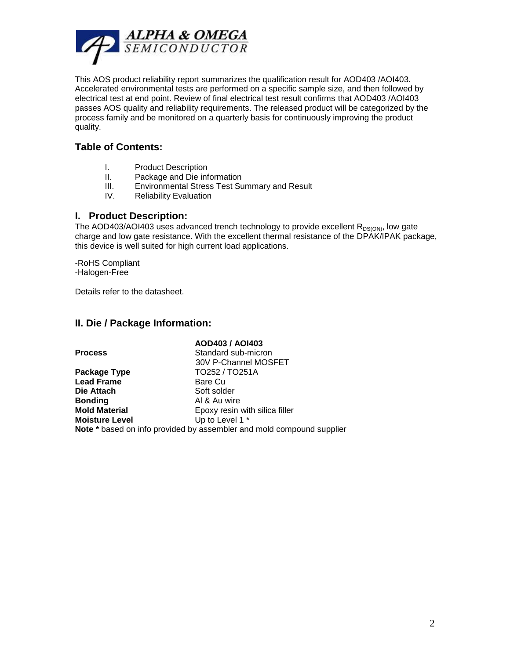

This AOS product reliability report summarizes the qualification result for AOD403 /AOI403. Accelerated environmental tests are performed on a specific sample size, and then followed by electrical test at end point. Review of final electrical test result confirms that AOD403 /AOI403 passes AOS quality and reliability requirements. The released product will be categorized by the process family and be monitored on a quarterly basis for continuously improving the product quality.

#### **Table of Contents:**

- I. Product Description
- II. Package and Die information
- III. Environmental Stress Test Summary and Result
- IV. Reliability Evaluation

#### **I. Product Description:**

The AOD403/AOI403 uses advanced trench technology to provide excellent  $R_{DS(ON)}$ , low gate charge and low gate resistance. With the excellent thermal resistance of the DPAK/IPAK package, this device is well suited for high current load applications.

-RoHS Compliant -Halogen-Free

Details refer to the datasheet.

#### **II. Die / Package Information:**

|                       | AOD403 / AOI403                                                |
|-----------------------|----------------------------------------------------------------|
| <b>Process</b>        | Standard sub-micron                                            |
|                       | 30V P-Channel MOSFET                                           |
| Package Type          | TO252 / TO251A                                                 |
| <b>Lead Frame</b>     | Bare Cu                                                        |
| Die Attach            | Soft solder                                                    |
| <b>Bonding</b>        | Al & Au wire                                                   |
| <b>Mold Material</b>  | Epoxy resin with silica filler                                 |
| <b>Moisture Level</b> | Up to Level 1 *                                                |
|                       | Note * based on info provided by assemblar and mold compound s |

**Note \*** based on info provided by assembler and mold compound supplier